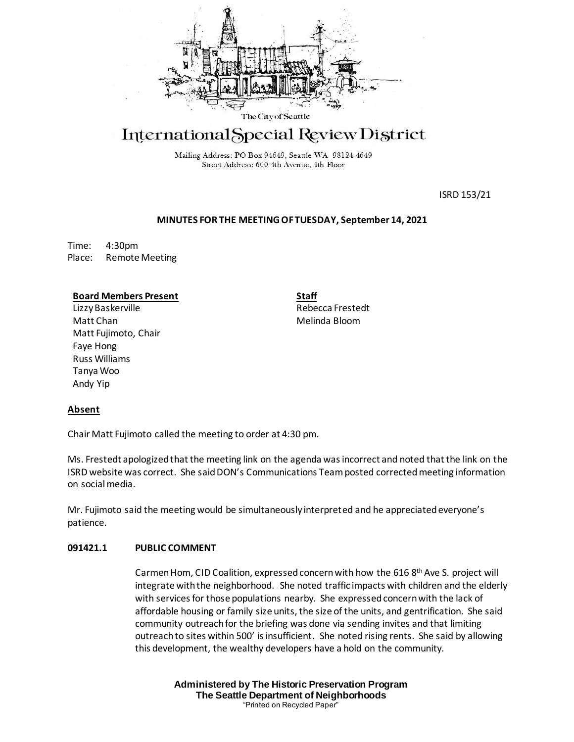

# International Special Review District

Mailing Address: PO Box 94649, Seattle WA 98124-4649 Street Address: 600 4th Avenue, 4th Floor

ISRD 153/21

## **MINUTES FOR THE MEETING OF TUESDAY, September 14, 2021**

Time: 4:30pm Place: Remote Meeting

### **Board Members Present**

LizzyBaskerville Matt Chan Matt Fujimoto, Chair Faye Hong Russ Williams Tanya Woo Andy Yip

**Staff** Rebecca Frestedt Melinda Bloom

## **Absent**

Chair Matt Fujimoto called the meeting to order at 4:30 pm.

Ms. Frestedt apologized that the meeting link on the agenda was incorrect and noted that the link on the ISRD website was correct. She said DON's Communications Team posted corrected meeting information on social media.

Mr. Fujimoto said the meeting would be simultaneously interpreted and he appreciated everyone's patience.

## **091421.1 PUBLIC COMMENT**

Carmen Hom, CID Coalition, expressed concern with how the 616 8th Ave S. project will integrate with the neighborhood. She noted traffic impacts with children and the elderly with services for those populations nearby. She expressed concern with the lack of affordable housing or family size units, the size of the units, and gentrification. She said community outreach for the briefing was done via sending invites and that limiting outreach to sites within 500' is insufficient. She noted rising rents. She said by allowing this development, the wealthy developers have a hold on the community.

> **Administered by The Historic Preservation Program The Seattle Department of Neighborhoods** "Printed on Recycled Paper"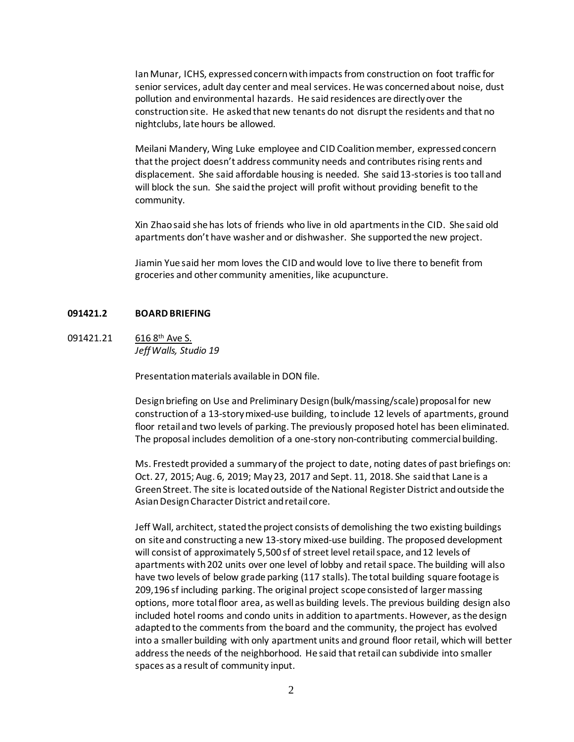Ian Munar, ICHS, expressed concern with impacts from construction on foot traffic for senior services, adult day center and meal services. He was concerned about noise, dust pollution and environmental hazards. He said residences are directly over the construction site. He asked that new tenants do not disrupt the residents and that no nightclubs, late hours be allowed.

Meilani Mandery, Wing Luke employee and CID Coalitionmember, expressed concern that the project doesn't address community needs and contributes rising rents and displacement. She said affordable housing is needed. She said 13-stories is too tall and will block the sun. She said the project will profit without providing benefit to the community.

Xin Zhao said she has lots of friends who live in old apartments in the CID. She said old apartments don't have washer and or dishwasher. She supported the new project.

Jiamin Yue said her mom loves the CID and would love to live there to benefit from groceries and other community amenities, like acupuncture.

### **091421.2 BOARD BRIEFING**

# 091421.21 616 8<sup>th</sup> Ave S. *Jeff Walls, Studio 19*

Presentation materials available in DON file.

Design briefing on Use and Preliminary Design (bulk/massing/scale) proposal for new construction of a 13-story mixed-use building, to include 12 levels of apartments, ground floor retail and two levels of parking. The previously proposed hotel has been eliminated. The proposal includes demolition of a one-story non-contributing commercial building.

Ms. Frestedt provided a summary of the project to date, noting dates of past briefings on: Oct. 27, 2015; Aug. 6, 2019; May 23, 2017 and Sept. 11, 2018. She said that Lane is a Green Street. The site is located outside of the National Register District and outside the Asian Design Character District and retail core.

Jeff Wall, architect, stated the project consists of demolishing the two existing buildings on site and constructing a new 13-story mixed-use building. The proposed development will consist of approximately 5,500 sf of street level retail space, and 12 levels of apartments with 202 units over one level of lobby and retail space. The building will also have two levels of below grade parking (117 stalls). The total building square footage is 209,196 sf including parking. The original project scope consisted of larger massing options, more total floor area, as well as building levels. The previous building design also included hotel rooms and condo units in addition to apartments. However, as the design adapted to the comments from the board and the community, the project has evolved into a smaller building with only apartment units and ground floor retail, which will better address the needs of the neighborhood. He said that retail can subdivide into smaller spaces as a result of community input.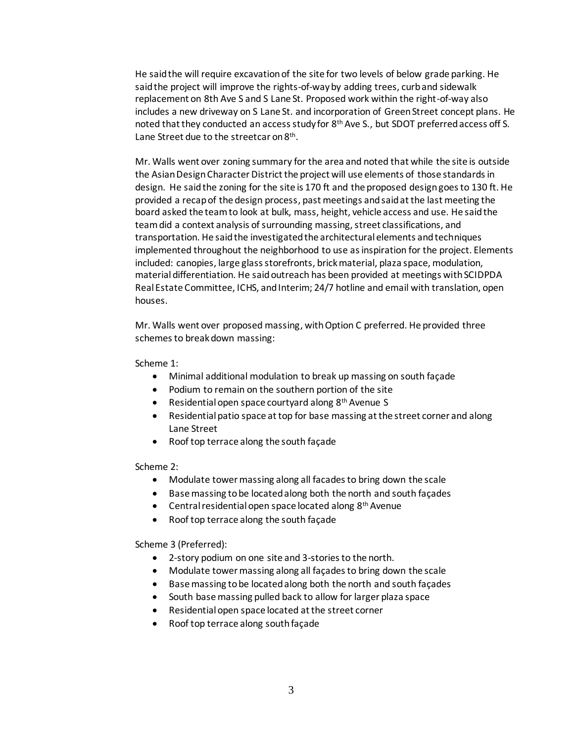He said the will require excavation of the site for two levels of below grade parking. He said the project will improve the rights-of-wayby adding trees, curb and sidewalk replacement on 8th Ave S and S Lane St. Proposed work within the right-of-way also includes a new driveway on S Lane St. and incorporation of Green Street concept plans. He noted that they conducted an access study for 8<sup>th</sup> Ave S., but SDOT preferred access off S. Lane Street due to the streetcar on 8<sup>th</sup>.

Mr. Walls went over zoning summary for the area and noted that while the site is outside the Asian Design Character District the project will use elements of those standards in design. He said the zoning for the site is 170 ft and the proposed design goes to 130 ft. He provided a recap of the design process, past meetings and said at the last meeting the board asked the team to look at bulk, mass, height, vehicle access and use. He said the team did a context analysis of surrounding massing, street classifications, and transportation. He said the investigated the architectural elements and techniques implemented throughout the neighborhood to use as inspiration for the project. Elements included: canopies, large glass storefronts, brick material, plaza space, modulation, material differentiation. He said outreach has been provided at meetings with SCIDPDA Real Estate Committee, ICHS, and Interim; 24/7 hotline and email with translation, open houses.

Mr. Walls went over proposed massing, with Option C preferred. He provided three schemes to break down massing:

Scheme 1:

- Minimal additional modulation to break up massing on south façade
- Podium to remain on the southern portion of the site
- Residential open space courtyard along 8<sup>th</sup> Avenue S
- Residential patio space at top for base massing at the street corner and along Lane Street
- Roof top terrace along the south façade

Scheme 2:

- Modulate tower massing along all facades to bring down the scale
- Base massing to be located along both the north and south façades
- **•** Central residential open space located along  $8<sup>th</sup>$  Avenue
- Roof top terrace along the south façade

Scheme 3 (Preferred):

- 2-story podium on one site and 3-stories to the north.
- Modulate tower massing along all façades to bring down the scale
- Base massing to be located along both the north and south façades
- South base massing pulled back to allow for larger plaza space
- Residential open space located at the street corner
- Roof top terrace along south façade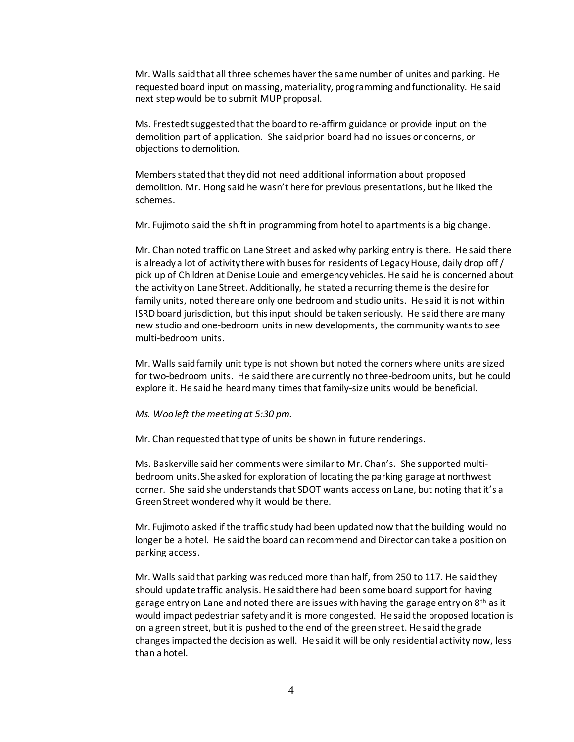Mr. Walls said that all three schemes haver the same number of unites and parking. He requested board input on massing, materiality, programming and functionality. He said next step would be to submit MUP proposal.

Ms. Frestedt suggested that the board to re-affirm guidance or provide input on the demolition part of application. She said prior board had no issues or concerns, or objections to demolition.

Members stated that they did not need additional information about proposed demolition. Mr. Hong said he wasn't here for previous presentations, but he liked the schemes.

Mr. Fujimoto said the shift in programming from hotel to apartments is a big change.

Mr. Chan noted traffic on Lane Street and asked why parking entry is there. He said there is already a lot of activity there with buses for residents of Legacy House, daily drop off / pick up of Children at Denise Louie and emergency vehicles. He said he is concerned about the activity on Lane Street. Additionally, he stated a recurring theme is the desire for family units, noted there are only one bedroom and studio units. He said it is not within ISRD board jurisdiction, but thisinput should be taken seriously. He said there are many new studio and one-bedroom units in new developments, the community wants to see multi-bedroom units.

Mr. Walls said family unit type is not shown but noted the corners where units are sized for two-bedroom units. He said there are currently no three-bedroom units, but he could explore it. He said he heard many times that family-size units would be beneficial.

#### *Ms. Woo left the meeting at 5:30 pm.*

Mr. Chan requested that type of units be shown in future renderings.

Ms. Baskerville said her comments were similar to Mr. Chan's. She supported multibedroom units.She asked for exploration of locating the parking garage at northwest corner. She said she understands that SDOT wants access on Lane, but noting that it's a Green Street wondered why it would be there.

Mr. Fujimoto asked if the traffic study had been updated now that the building would no longer be a hotel. He said the board can recommend and Director can take a position on parking access.

Mr. Walls said that parking was reduced more than half, from 250 to 117. He said they should update traffic analysis. He said there had been some board support for having garage entry on Lane and noted there are issues with having the garage entry on 8<sup>th</sup> as it would impact pedestrian safety and it is more congested. He said the proposed location is on a green street, but it is pushed to the end of the green street. He said the grade changes impacted the decision as well. He said it will be only residential activity now, less than a hotel.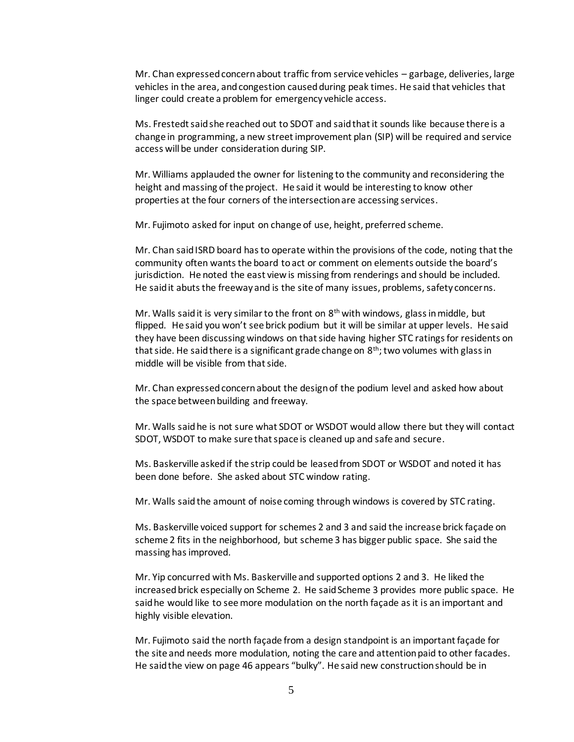Mr. Chan expressed concern about traffic from service vehicles – garbage, deliveries, large vehicles in the area, and congestion caused during peak times. He said that vehicles that linger could create a problem for emergency vehicle access.

Ms. Frestedt said she reached out to SDOT and said that it sounds like because there is a change in programming, a new street improvement plan (SIP) will be required and service access will be under consideration during SIP.

Mr. Williams applauded the owner for listening to the community and reconsidering the height and massing of the project. He said it would be interesting to know other properties at the four corners of the intersection are accessing services.

Mr. Fujimoto asked for input on change of use, height, preferred scheme.

Mr. Chan said ISRD board has to operate within the provisions of the code, noting that the community often wants the board to act or comment on elements outside the board's jurisdiction. He noted the east view is missing from renderings and should be included. He said it abuts the freeway and is the site of many issues, problems, safety concerns.

Mr. Walls said it is very similar to the front on  $8<sup>th</sup>$  with windows, glass in middle, but flipped. He said you won't see brick podium but it will be similar at upper levels. He said they have been discussing windows on that side having higher STC ratings for residents on that side. He said there is a significant grade change on  $8<sup>th</sup>$ ; two volumes with glass in middle will be visible from that side.

Mr. Chan expressed concern about the design of the podium level and asked how about the space between building and freeway.

Mr. Walls said he is not sure what SDOT or WSDOT would allow there but they will contact SDOT, WSDOT to make sure that space is cleaned up and safe and secure.

Ms. Baskerville asked if the strip could be leased from SDOT or WSDOT and noted it has been done before. She asked about STC window rating.

Mr. Walls said the amount of noise coming through windows is covered by STC rating.

Ms. Baskerville voiced support for schemes 2 and 3 and said the increase brick façade on scheme 2 fits in the neighborhood, but scheme 3 has bigger public space. She said the massing has improved.

Mr. Yip concurred with Ms. Baskerville and supported options 2 and 3. He liked the increased brick especially on Scheme 2. He said Scheme 3 provides more public space. He said he would like to see more modulation on the north façade as it is an important and highly visible elevation.

Mr. Fujimoto said the north façade from a design standpoint is an important façade for the site and needs more modulation, noting the care and attention paid to other facades. He said the view on page 46 appears "bulky". He said new construction should be in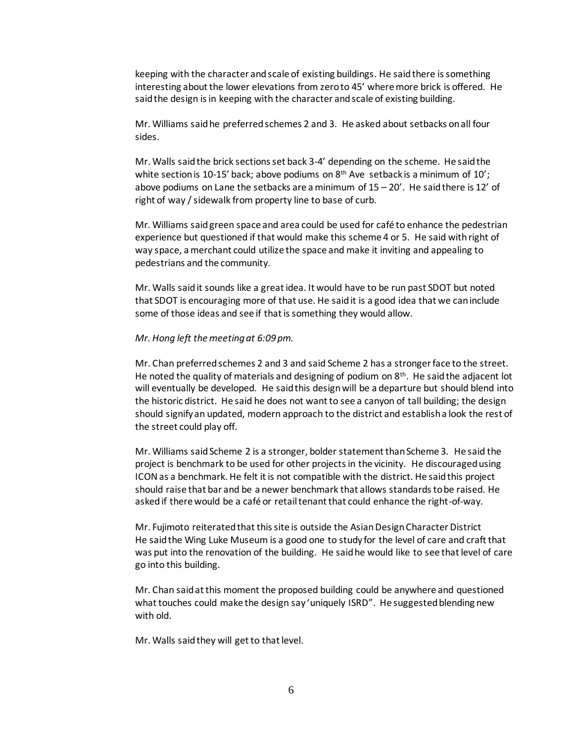keeping with the character and scale of existing buildings. He said there is something interesting about the lower elevations from zero to 45' where more brick is offered. He said the design is in keeping with the character and scale of existing building.

Mr. Williams said he preferred schemes 2 and 3. He asked about setbacks on all four sides.

Mr. Walls said the brick sections set back 3-4' depending on the scheme. He said the white section is 10-15' back; above podiums on  $8<sup>th</sup>$  Ave setback is a minimum of 10'; above podiums on Lane the setbacks are a minimum of  $15 - 20'$ . He said there is  $12'$  of right of way / sidewalk from property line to base of curb.

Mr. Williams said green space and area could be used for café to enhance the pedestrian experience but questioned if that would make this scheme 4 or 5. He said with right of way space, a merchant could utilize the space and make it inviting and appealing to pedestrians and the community.

Mr. Walls said it sounds like a great idea. It would have to be run past SDOT but noted that SDOT is encouraging more of that use. He said it is a good idea that we can include some of those ideas and see if that is something they would allow.

#### *Mr. Hong left the meeting at 6:09 pm.*

Mr. Chan preferred schemes 2 and 3 and said Scheme 2 has a stronger face to the street. He noted the quality of materials and designing of podium on 8<sup>th</sup>. He said the adjacent lot will eventually be developed. He said this design will be a departure but should blend into the historic district. He said he does not want to see a canyon of tall building; the design should signify an updated, modern approach to the district and establish a look the rest of the street could play off.

Mr. Williams said Scheme 2 is a stronger, bolder statement than Scheme 3. He said the project is benchmark to be used for other projects in the vicinity. He discouraged using ICON as a benchmark. He felt it is not compatible with the district. He said this project should raise that bar and be a newer benchmark that allows standards to be raised. He asked if there would be a café or retail tenant that could enhance the right-of-way.

Mr. Fujimoto reiterated that this site is outside the Asian Design Character District He said the Wing Luke Museum is a good one to study for the level of care and craft that was put into the renovation of the building. He said he would like to see that level of care go into this building.

Mr. Chan said at this moment the proposed building could be anywhere and questioned what touches could make the design say 'uniquely ISRD". He suggested blending new with old.

Mr. Walls said they will get to that level.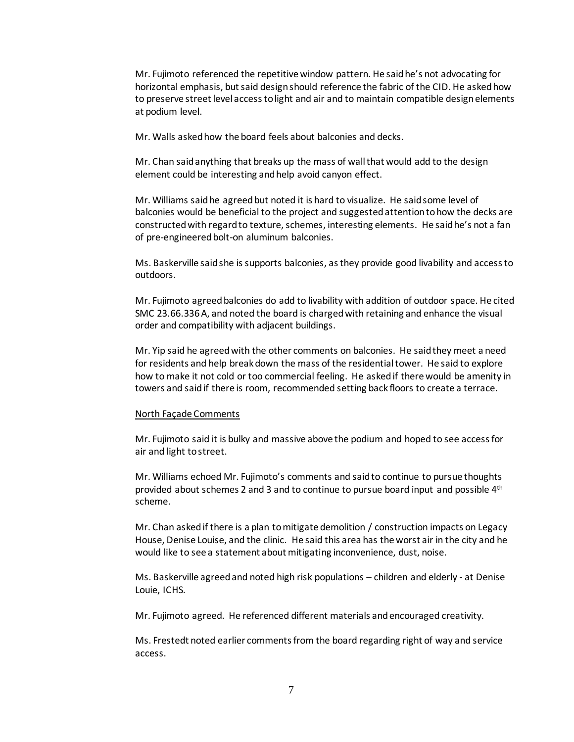Mr. Fujimoto referenced the repetitive window pattern. He said he's not advocating for horizontal emphasis, but said design should reference the fabric of the CID. He asked how to preserve street level access to light and air and to maintain compatible design elements at podium level.

Mr. Walls asked how the board feels about balconies and decks.

Mr. Chan said anything that breaks up the mass of wall that would add to the design element could be interesting and help avoid canyon effect.

Mr. Williams said he agreed but noted it is hard to visualize. He said some level of balconies would be beneficial to the project and suggested attention to how the decks are constructed with regard to texture, schemes, interesting elements. He said he's not a fan of pre-engineered bolt-on aluminum balconies.

Ms. Baskerville said she is supports balconies, as they provide good livability and access to outdoors.

Mr. Fujimoto agreed balconies do add to livability with addition of outdoor space. He cited SMC 23.66.336 A, and noted the board is charged with retaining and enhance the visual order and compatibility with adjacent buildings.

Mr. Yip said he agreed with the other comments on balconies. He said they meet a need for residents and help break down the mass of the residential tower. He said to explore how to make it not cold or too commercial feeling. He asked if there would be amenity in towers and said if there is room, recommended setting back floors to create a terrace.

#### North Façade Comments

Mr. Fujimoto said it is bulky and massive above the podium and hoped to see access for air and light to street.

Mr. Williams echoed Mr. Fujimoto's comments and said to continue to pursue thoughts provided about schemes 2 and 3 and to continue to pursue board input and possible 4<sup>th</sup> scheme.

Mr. Chan asked if there is a plan to mitigate demolition / construction impacts on Legacy House, Denise Louise, and the clinic. He said this area has the worst air in the city and he would like to see a statement about mitigating inconvenience, dust, noise.

Ms. Baskerville agreed and noted high risk populations – children and elderly - at Denise Louie, ICHS.

Mr. Fujimoto agreed. He referenced different materials and encouraged creativity.

Ms. Frestedt noted earlier comments from the board regarding right of way and service access.